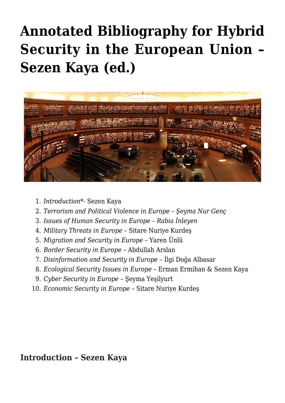# **[Annotated Bibliography for Hybrid](https://www.uikpanorama.com/blog/2021/09/13/annotated-bibliography-for-hybrid-security-in-the-european-union/) [Security in the European Union –](https://www.uikpanorama.com/blog/2021/09/13/annotated-bibliography-for-hybrid-security-in-the-european-union/) [Sezen Kaya \(ed.\)](https://www.uikpanorama.com/blog/2021/09/13/annotated-bibliography-for-hybrid-security-in-the-european-union/)**



- 1. *Introduction*\*- Sezen Kaya
- 2. *Terrorism and Political Violence in Europe Şeyma Nur Genç*
- 3. *Issues of Human Security in Europe Rabia İnleyen*
- 4. *Military Threats in Europe* Sitare Nuriye Kurdeş
- 5. *Migration and Security in Europe* Yaren Ünlü
- 6. *Border Security in Europe* Abdullah Arslan
- 7. *Disinformation and Security in Europe* İlgi Doğa Albasar
- 8. *Ecological Security Issues in Europe* Erman Ermihan & Sezen Kaya
- 9. *Cyber Security in Europe* Şeyma Yeşilyurt
- 10. *Economic Security in Europe* Sitare Nuriye Kurdeş

### **Introduction – Sezen Kaya**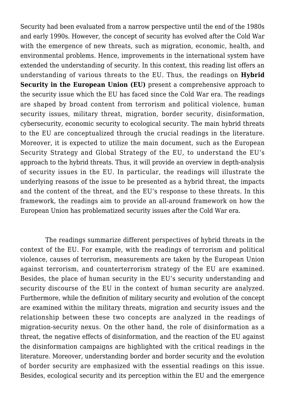Security had been evaluated from a narrow perspective until the end of the 1980s and early 1990s. However, the concept of security has evolved after the Cold War with the emergence of new threats, such as migration, economic, health, and environmental problems. Hence, improvements in the international system have extended the understanding of security. In this context, this reading list offers an understanding of various threats to the EU. Thus, the readings on **Hybrid Security in the European Union (EU)** present a comprehensive approach to the security issue which the EU has faced since the Cold War era. The readings are shaped by broad content from terrorism and political violence, human security issues, military threat, migration, border security, disinformation, cybersecurity, economic security to ecological security. The main hybrid threats to the EU are conceptualized through the crucial readings in the literature. Moreover, it is expected to utilize the main document, such as the European Security Strategy and Global Strategy of the EU, to understand the EU's approach to the hybrid threats. Thus, it will provide an overview in depth-analysis of security issues in the EU. In particular, the readings will illustrate the underlying reasons of the issue to be presented as a hybrid threat, the impacts and the content of the threat, and the EU's response to these threats. In this framework, the readings aim to provide an all-around framework on how the European Union has problematized security issues after the Cold War era.

 The readings summarize different perspectives of hybrid threats in the context of the EU. For example, with the readings of terrorism and political violence, causes of terrorism, measurements are taken by the European Union against terrorism, and counterterrorism strategy of the EU are examined. Besides, the place of human security in the EU's security understanding and security discourse of the EU in the context of human security are analyzed. Furthermore, while the definition of military security and evolution of the concept are examined within the military threats, migration and security issues and the relationship between these two concepts are analyzed in the readings of migration-security nexus. On the other hand, the role of disinformation as a threat, the negative effects of disinformation, and the reaction of the EU against the disinformation campaigns are highlighted with the critical readings in the literature. Moreover, understanding border and border security and the evolution of border security are emphasized with the essential readings on this issue. Besides, ecological security and its perception within the EU and the emergence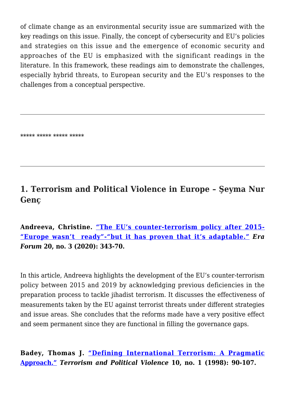of climate change as an environmental security issue are summarized with the key readings on this issue. Finally, the concept of cybersecurity and EU's policies and strategies on this issue and the emergence of economic security and approaches of the EU is emphasized with the significant readings in the literature. In this framework, these readings aim to demonstrate the challenges, especially hybrid threats, to European security and the EU's responses to the challenges from a conceptual perspective.

\*\*\*\*\* \*\*\*\*\* \*\*\*\*\* \*\*\*\*\*

# **1. Terrorism and Political Violence in Europe – Şeyma Nur Genç**

**Andreeva, Christine. ["The EU's counter-terrorism policy after 2015-](https://link.springer.com/article/10.1007/s12027-019-00570-0) ["Europe wasn't ready"-"but it has proven that it's adaptable."](https://link.springer.com/article/10.1007/s12027-019-00570-0)** *Era Forum* **20, no. 3 (2020): 343-70.**

In this article, Andreeva highlights the development of the EU's counter-terrorism policy between 2015 and 2019 by acknowledging previous deficiencies in the preparation process to tackle jihadist terrorism. It discusses the effectiveness of measurements taken by the EU against terrorist threats under different strategies and issue areas. She concludes that the reforms made have a very positive effect and seem permanent since they are functional in filling the governance gaps.

**Badey, Thomas J. ["Defining International Terrorism: A Pragmatic](https://www.tandfonline.com/doi/abs/10.1080/09546559808427445?journalCode=ftpv20) [Approach."](https://www.tandfonline.com/doi/abs/10.1080/09546559808427445?journalCode=ftpv20)** *Terrorism and Political Violence* **10, no. 1 (1998): 90-107.**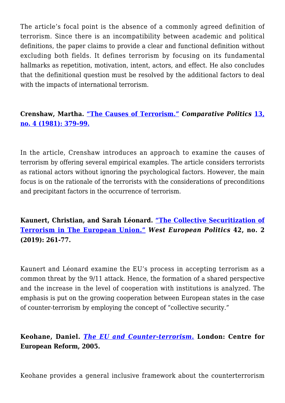The article's focal point is the absence of a commonly agreed definition of terrorism. Since there is an incompatibility between academic and political definitions, the paper claims to provide a clear and functional definition without excluding both fields. It defines terrorism by focusing on its fundamental hallmarks as repetition, motivation, intent, actors, and effect. He also concludes that the definitional question must be resolved by the additional factors to deal with the impacts of international terrorism.

**Crenshaw, Martha. ["The Causes of Terrorism."](https://www.jstor.org/stable/421717?seq=1#metadata_info_tab_contents)** *Comparative Politics* **[13,](https://www.zotero.org/google-docs/?6ZZssM) [no. 4 \(1981\): 379–99.](https://www.zotero.org/google-docs/?6ZZssM)**

In the article, Crenshaw introduces an approach to examine the causes of terrorism by offering several empirical examples. The article considers terrorists as rational actors without ignoring the psychological factors. However, the main focus is on the rationale of the terrorists with the considerations of preconditions and precipitant factors in the occurrence of terrorism.

**Kaunert, Christian, and Sarah Léonard. ["The Collective Securitization of](https://www.tandfonline.com/doi/full/10.1080/01402382.2018.1510194) [Terrorism in The European Union."](https://www.tandfonline.com/doi/full/10.1080/01402382.2018.1510194)** *West European Politics* **42, no. 2 (2019): 261-77.**

Kaunert and Léonard examine the EU's process in accepting terrorism as a common threat by the 9/11 attack. Hence, the formation of a shared perspective and the increase in the level of cooperation with institutions is analyzed. The emphasis is put on the growing cooperation between European states in the case of counter-terrorism by employing the concept of "collective security."

**Keohane, Daniel.** *[The EU and Counter-terrorism](https://www.cer.eu/sites/default/files/publications/attachments/pdf/2011/wp629_terrorism_counter_keohane-1499.pdf)***[.](https://www.cer.eu/sites/default/files/publications/attachments/pdf/2011/wp629_terrorism_counter_keohane-1499.pdf) London: Centre for European Reform, 2005.**

Keohane provides a general inclusive framework about the counterterrorism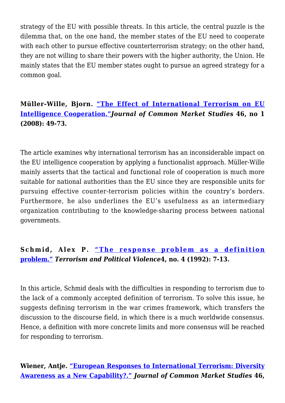strategy of the EU with possible threats. In this article, the central puzzle is the dilemma that, on the one hand, the member states of the EU need to cooperate with each other to pursue effective counterterrorism strategy; on the other hand, they are not willing to share their powers with the higher authority, the Union. He mainly states that the EU member states ought to pursue an agreed strategy for a common goal.

### **Müller-Wille, Bjorn. ["The Effect of International Terrorism on EU](https://onlinelibrary.wiley.com/doi/full/10.1111/j.1468-5965.2007.00767.x?casa_token=tdAT7S59inkAAAAA%3A_ejUepA7bPiEd4oIuJNToqqAltiaTQSobyEIEGIoJJ1aaFZdGHRtyKuC6QGNNXstPLjMpZN6qA6QQN4) [Intelligence Cooperation."](https://onlinelibrary.wiley.com/doi/full/10.1111/j.1468-5965.2007.00767.x?casa_token=tdAT7S59inkAAAAA%3A_ejUepA7bPiEd4oIuJNToqqAltiaTQSobyEIEGIoJJ1aaFZdGHRtyKuC6QGNNXstPLjMpZN6qA6QQN4)***Journal of Common Market Studies* **46, no 1 (2008): 49-73.**

The article examines why international terrorism has an inconsiderable impact on the EU intelligence cooperation by applying a functionalist approach. Müller-Wille mainly asserts that the tactical and functional role of cooperation is much more suitable for national authorities than the EU since they are responsible units for pursuing effective counter-terrorism policies within the country's borders. Furthermore, he also underlines the EU's usefulness as an intermediary organization contributing to the knowledge-sharing process between national governments.

### **Schmid, Alex P. ["The response problem as a definition](https://www.tandfonline.com/doi/abs/10.1080/09546559208427172?journalCode=ftpv20) [problem."](https://www.tandfonline.com/doi/abs/10.1080/09546559208427172?journalCode=ftpv20)** *Terrorism and Political Violence***4, no. 4 (1992): 7-13.**

In this article, Schmid deals with the difficulties in responding to terrorism due to the lack of a commonly accepted definition of terrorism. To solve this issue, he suggests defining terrorism in the war crimes framework, which transfers the discussion to the discourse field, in which there is a much worldwide consensus. Hence, a definition with more concrete limits and more consensus will be reached for responding to terrorism.

### **Wiener, Antje. ["European Responses to International Terrorism: Diversity](https://onlinelibrary.wiley.com/doi/full/10.1111/j.1468-5965.2007.00774.x?casa_token=7BZbdO3QPhgAAAAA%3AvnUlO9IS6Ih9uc3kPSAUJGDqToxLe5pKNKND7EuXw-flSe_Y7ui6iRD5sNfyM6v8RhxLOcVlbZ-EazA) [Awareness as a New Capability?."](https://onlinelibrary.wiley.com/doi/full/10.1111/j.1468-5965.2007.00774.x?casa_token=7BZbdO3QPhgAAAAA%3AvnUlO9IS6Ih9uc3kPSAUJGDqToxLe5pKNKND7EuXw-flSe_Y7ui6iRD5sNfyM6v8RhxLOcVlbZ-EazA)** *Journal of Common Market Studies* **46,**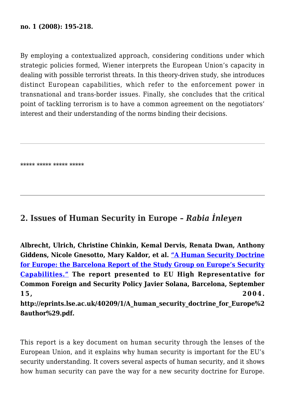#### **no. 1 (2008): 195-218.**

By employing a contextualized approach, considering conditions under which strategic policies formed, Wiener interprets the European Union's capacity in dealing with possible terrorist threats. In this theory-driven study, she introduces distinct European capabilities, which refer to the enforcement power in transnational and trans-border issues. Finally, she concludes that the critical point of tackling terrorism is to have a common agreement on the negotiators' interest and their understanding of the norms binding their decisions.

\*\*\*\*\* \*\*\*\*\* \*\*\*\*\* \*\*\*\*\*

### **2. Issues of Human Security in Europe –** *Rabia İnleyen*

**Albrecht, Ulrich, Christine Chinkin, Kemal Dervis, Renata Dwan, Anthony Giddens, Nicole Gnesotto, Mary Kaldor, et al. ["A Human Security Doctrine](http://eprints.lse.ac.uk/40209/) [for Europe: the Barcelona Report of the Study Group on Europe's Security](http://eprints.lse.ac.uk/40209/) [Capabilities."](http://eprints.lse.ac.uk/40209/) The report presented to EU High Representative for Common Foreign and Security Policy Javier Solana, Barcelona, September 15, 2004. http://eprints.lse.ac.uk/40209/1/A\_human\_security\_doctrine\_for\_Europe%2 8author%29.pdf.**

This report is a key document on human security through the lenses of the European Union, and it explains why human security is important for the EU's security understanding. It covers several aspects of human security, and it shows how human security can pave the way for a new security doctrine for Europe.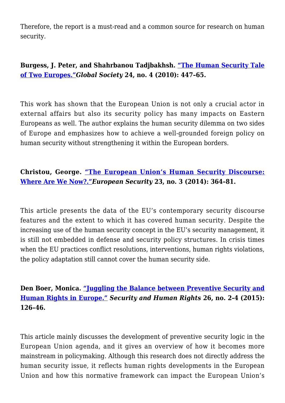Therefore, the report is a must-read and a common source for research on human security.

### **Burgess, J. Peter, and Shahrbanou Tadjbakhsh. ["The Human Security Tale](https://www.tandfonline.com/doi/full/10.1080/13600826.2010.508334) [of Two Europes."](https://www.tandfonline.com/doi/full/10.1080/13600826.2010.508334)***Global Society* **24, no. 4 (2010): 447–65.**

This work has shown that the European Union is not only a crucial actor in external affairs but also its security policy has many impacts on Eastern Europeans as well. The author explains the human security dilemma on two sides of Europe and emphasizes how to achieve a well-grounded foreign policy on human security without strengthening it within the European borders.

### **Christou, George. ["The European Union's Human Security Discourse:](https://www.tandfonline.com/doi/full/10.1080/09662839.2014.884075) [Where Are We Now?."](https://www.tandfonline.com/doi/full/10.1080/09662839.2014.884075)***European Security* **23, no. 3 (2014): 364–81.**

This article presents the data of the EU's contemporary security discourse features and the extent to which it has covered human security. Despite the increasing use of the human security concept in the EU's security management, it is still not embedded in defense and security policy structures. In crisis times when the EU practices conflict resolutions, interventions, human rights violations, the policy adaptation still cannot cover the human security side.

### **Den Boer, Monica. ["Juggling the Balance between Preventive Security and](https://brill.com/view/journals/shrs/26/2-4/article-p126_2.xml) [Human Rights in Europe."](https://brill.com/view/journals/shrs/26/2-4/article-p126_2.xml)** *Security and Human Rights* **26, no. 2-4 (2015): 126–46.**

This article mainly discusses the development of preventive security logic in the European Union agenda, and it gives an overview of how it becomes more mainstream in policymaking. Although this research does not directly address the human security issue, it reflects human rights developments in the European Union and how this normative framework can impact the European Union's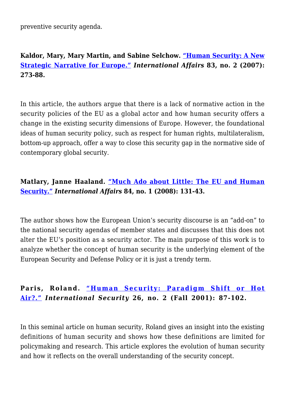preventive security agenda.

### **Kaldor, Mary, Mary Martin, and Sabine Selchow. ["Human Security: A New](https://www.jstor.org/stable/4541698?seq=1#metadata_info_tab_contents) [Strategic Narrative for Europe."](https://www.jstor.org/stable/4541698?seq=1#metadata_info_tab_contents)** *International Affairs* **83, no. 2 (2007): 273-88.**

In this article, the authors argue that there is a lack of normative action in the security policies of the EU as a global actor and how human security offers a change in the existing security dimensions of Europe. However, the foundational ideas of human security policy, such as respect for human rights, multilateralism, bottom-up approach, offer a way to close this security gap in the normative side of contemporary global security.

### **Matlary, Janne Haaland. ["Much Ado about Little: The EU and Human](https://www.jstor.org/stable/25144719?seq=1#metadata_info_tab_contents) [Security."](https://www.jstor.org/stable/25144719?seq=1#metadata_info_tab_contents)** *International Affairs* **84, no. 1 (2008): 131-43.**

The author shows how the European Union's security discourse is an "add-on" to the national security agendas of member states and discusses that this does not alter the EU's position as a security actor. The main purpose of this work is to analyze whether the concept of human security is the underlying element of the European Security and Defense Policy or it is just a trendy term.

### **Paris, Roland. ["Human Security: Paradigm Shift or Hot](https://www.jstor.org/stable/3092123?seq=1#metadata_info_tab_contents) [Air?."](https://www.jstor.org/stable/3092123?seq=1#metadata_info_tab_contents)** *International Security* **26, no. 2 (Fall 2001): 87-102.**

In this seminal article on human security, Roland gives an insight into the existing definitions of human security and shows how these definitions are limited for policymaking and research. This article explores the evolution of human security and how it reflects on the overall understanding of the security concept.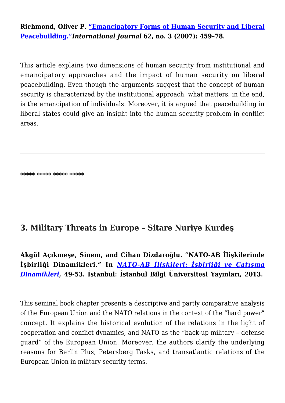**Richmond, Oliver P. ["Emancipatory Forms of Human Security and Liberal](https://journals.sagepub.com/doi/abs/10.1177/002070200706200302) [Peacebuilding."](https://journals.sagepub.com/doi/abs/10.1177/002070200706200302)***International Journal* **62, no. 3 (2007): 459–78.** 

This article explains two dimensions of human security from institutional and emancipatory approaches and the impact of human security on liberal peacebuilding. Even though the arguments suggest that the concept of human security is characterized by the institutional approach, what matters, in the end, is the emancipation of individuals. Moreover, it is argued that peacebuilding in liberal states could give an insight into the human security problem in conflict areas.

\*\*\*\*\* \*\*\*\*\* \*\*\*\*\* \*\*\*\*\*

### **3. Military Threats in Europe – Sitare Nuriye Kurdeş**

**Akgül Açıkmeşe, Sinem, and Cihan Dizdaroğlu. "NATO-AB İlişkilerinde İşbirliği Dinamikleri." In** *[NATO-AB İlişkileri: İşbirliği ve Çatışma](https://www.uidergisi.com.tr/yazilar/nato-ab-iliskilerinde-isbirligi-ve-catisma-dinamikleri) [Dinamikleri](https://www.uidergisi.com.tr/yazilar/nato-ab-iliskilerinde-isbirligi-ve-catisma-dinamikleri)***, 49-53. İstanbul: İstanbul Bilgi Üniversitesi Yayınları, 2013.**

This seminal book chapter presents a descriptive and partly comparative analysis of the European Union and the NATO relations in the context of the "hard power" concept. It explains the historical evolution of the relations in the light of cooperation and conflict dynamics, and NATO as the "back-up military – defense guard" of the European Union. Moreover, the authors clarify the underlying reasons for Berlin Plus, Petersberg Tasks, and transatlantic relations of the European Union in military security terms.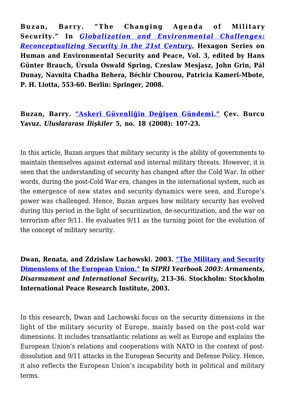**Buzan, Barry. "The Changing Agenda of Military Security." In** *[Globalization and Environmental Challenges:](https://link.springer.com/book/10.1007/978-3-540-75977-5) [Reconceptualizing Security in the 21st Century.](https://link.springer.com/book/10.1007/978-3-540-75977-5)* **Hexagon Series on Human and Environmental Security and Peace, Vol. 3, edited by Hans Günter Brauch, Úrsula Oswald Spring, Czeslaw Mesjasz, John Grin, Pál Dunay, Navnita Chadha Behera, Béchir Chourou, Patricia Kameri-Mbote, P. H. Liotta, 553-60. Berlin: Springer, 2008.**

**Buzan, Barry. ["Askeri Güvenliğin Değişen Gündemi."](https://www.uidergisi.com.tr/yazilar/askeri-guvenligin-degisen-gundemi) Çev. Burcu Yavuz.** *Uluslararası İlişkiler* **5, no. 18 (2008): 107-23.**

In this article, Buzan argues that military security is the ability of governments to maintain themselves against external and internal military threats. However, it is seen that the understanding of security has changed after the Cold War. In other words, during the post-Cold War era, changes in the international system, such as the emergence of new states and security dynamics were seen, and Europe's power was challenged. Hence, Buzan argues how military security has evolved during this period in the light of securitization, de-securitization, and the war on terrorism after 9/11. He evaluates 9/11 as the turning point for the evolution of the concept of military security.

**Dwan, Renata, and Zdzislaw Lachowski. 2003. ["The Military and Security](https://www.sipri.org/yearbook/2003/06) [Dimensions of the European Union."](https://www.sipri.org/yearbook/2003/06) In** *SIPRI Yearbook 2003: Armaments, Disarmament and International Security***, 213-36. Stockholm: Stockholm International Peace Research Institute, 2003.**

In this research, Dwan and Lachowski focus on the security dimensions in the light of the military security of Europe, mainly based on the post-cold war dimensions. It includes transatlantic relations as well as Europe and explains the European Union's relations and cooperations with NATO in the context of postdissolution and 9/11 attacks in the European Security and Defense Policy. Hence, it also reflects the European Union's incapability both in political and military terms.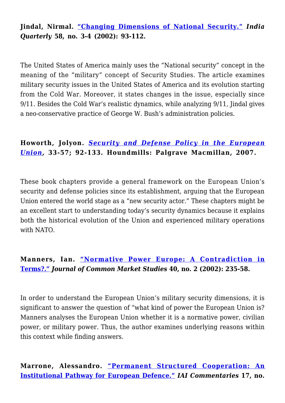### **Jindal, Nirmal. ["Changing Dimensions of National Security."](https://www.jstor.org/stable/45073413?seq=1#metadata_info_tab_contents)** *India Quarterly* **58, no. 3-4 (2002): 93-112.**

The United States of America mainly uses the "National security" concept in the meaning of the "military" concept of Security Studies. The article examines military security issues in the United States of America and its evolution starting from the Cold War. Moreover, it states changes in the issue, especially since 9/11. Besides the Cold War's realistic dynamics, while analyzing 9/11, Jindal gives a neo-conservative practice of George W. Bush's administration policies.

### **Howorth, Jolyon.** *[Security and Defense Policy in the European](https://www.amazon.com.tr/Security-Defence-Policy-European-Union/dp/033363912X) [Union](https://www.amazon.com.tr/Security-Defence-Policy-European-Union/dp/033363912X),* **33-57; 92-133. Houndmills: Palgrave Macmillan, 2007.**

These book chapters provide a general framework on the European Union's security and defense policies since its establishment, arguing that the European Union entered the world stage as a "new security actor." These chapters might be an excellent start to understanding today's security dynamics because it explains both the historical evolution of the Union and experienced military operations with NATO.

### **Manners, Ian. ["Normative Power Europe: A Contradiction in](https://onlinelibrary.wiley.com/doi/full/10.1111/1468-5965.00353?casa_token=EKT17sWRbzAAAAAA%3A27lSJay9BQUaUS89Bf1E6if_Q6BB6BgCDAi5mhdmkD1exmbZTOBSmida5VqlGwFWY2XuSWQ0yHhgxa0) [Terms?."](https://onlinelibrary.wiley.com/doi/full/10.1111/1468-5965.00353?casa_token=EKT17sWRbzAAAAAA%3A27lSJay9BQUaUS89Bf1E6if_Q6BB6BgCDAi5mhdmkD1exmbZTOBSmida5VqlGwFWY2XuSWQ0yHhgxa0)** *Journal of Common Market Studies* **40, no. 2 (2002): 235-58.**

In order to understand the European Union's military security dimensions, it is significant to answer the question of "what kind of power the European Union is? Manners analyses the European Union whether it is a normative power, civilian power, or military power. Thus, the author examines underlying reasons within this context while finding answers.

### **Marrone, Alessandro. ["Permanent Structured Cooperation: An](https://www.iai.it/en/pubblicazioni/permanent-structured-cooperation-institutional-pathway-european-defence) [Institutional Pathway for European Defence."](https://www.iai.it/en/pubblicazioni/permanent-structured-cooperation-institutional-pathway-european-defence)** *IAI Commentaries* **17, no.**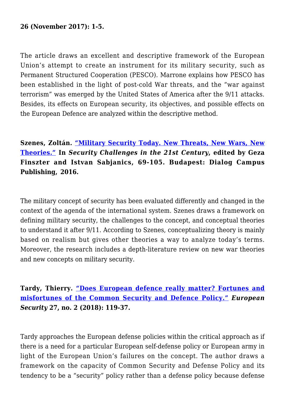#### **26 (November 2017): 1-5.**

The article draws an excellent and descriptive framework of the European Union's attempt to create an instrument for its military security, such as Permanent Structured Cooperation (PESCO). Marrone explains how PESCO has been established in the light of post-cold War threats, and the "war against terrorism" was emerged by the United States of America after the 9/11 attacks. Besides, its effects on European security, its objectives, and possible effects on the European Defence are analyzed within the descriptive method.

**Szenes, Zoltán. ["Military Security Today. New Threats, New Wars, New](https://www.bm-tt.hu/assets/letolt/secchal21/SzenesZ_Security_Challenges_in_the_21st_Century_web-5.pdf) [Theories."](https://www.bm-tt.hu/assets/letolt/secchal21/SzenesZ_Security_Challenges_in_the_21st_Century_web-5.pdf) In** *Security Challenges in the 21st Century***, edited by Geza Finszter and Istvan Sabjanics, 69-105. Budapest: Dialog Campus Publishing, 2016.**

The military concept of security has been evaluated differently and changed in the context of the agenda of the international system. Szenes draws a framework on defining military security, the challenges to the concept, and conceptual theories to understand it after 9/11. According to Szenes, conceptualizing theory is mainly based on realism but gives other theories a way to analyze today's terms. Moreover, the research includes a depth-literature review on new war theories and new concepts on military security.

**Tardy, Thierry. ["Does European defence really matter? Fortunes and](https://www.tandfonline.com/doi/full/10.1080/09662839.2018.1454434) [misfortunes of the Common Security and Defence Policy."](https://www.tandfonline.com/doi/full/10.1080/09662839.2018.1454434)** *European Security* **27, no. 2 (2018): 119-37.**

Tardy approaches the European defense policies within the critical approach as if there is a need for a particular European self-defense policy or European army in light of the European Union's failures on the concept. The author draws a framework on the capacity of Common Security and Defense Policy and its tendency to be a "security" policy rather than a defense policy because defense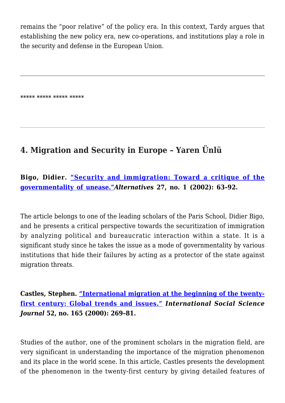remains the "poor relative" of the policy era. In this context, Tardy argues that establishing the new policy era, new co-operations, and institutions play a role in the security and defense in the European Union.

\*\*\*\*\* \*\*\*\*\* \*\*\*\*\* \*\*\*\*\*

# **4. Migration and Security in Europe – Yaren Ünlü**

### **Bigo, Didier. ["Security and immigration: Toward a critique of the](https://journals.sagepub.com/doi/10.1177/03043754020270S105) [governmentality of unease."](https://journals.sagepub.com/doi/10.1177/03043754020270S105)***Alternatives* **27, no. 1 (2002): 63–92.**

The article belongs to one of the leading scholars of the Paris School, Didier Bigo, and he presents a critical perspective towards the securitization of immigration by analyzing political and bureaucratic interaction within a state. It is a significant study since he takes the issue as a mode of governmentality by various institutions that hide their failures by acting as a protector of the state against migration threats.

**Castles, Stephen. ["International migration at the beginning of the twenty](https://onlinelibrary.wiley.com/doi/abs/10.1111/1468-2451.00258)[first century: Global trends and issues](https://onlinelibrary.wiley.com/doi/abs/10.1111/1468-2451.00258)***[."](https://onlinelibrary.wiley.com/doi/abs/10.1111/1468-2451.00258) International Social Science Journal* **52, no. 165 (2000): 269–81.** 

Studies of the author, one of the prominent scholars in the migration field, are very significant in understanding the importance of the migration phenomenon and its place in the world scene. In this article, Castles presents the development of the phenomenon in the twenty-first century by giving detailed features of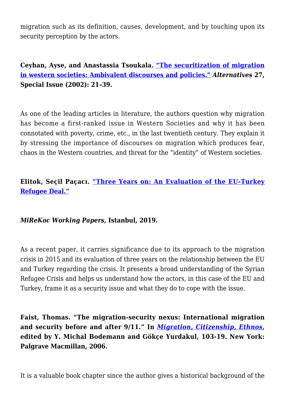migration such as its definition, causes, development, and by touching upon its security perception by the actors.

**Ceyhan, Ayse, and Anastassia Tsoukala. ["The securitization of migration](https://journals.sagepub.com/doi/abs/10.1177/03043754020270S103?journalCode=alta) [in western societies: Ambivalent discourses and policies."](https://journals.sagepub.com/doi/abs/10.1177/03043754020270S103?journalCode=alta)** *Alternatives* **27, Special Issue (2002): 21–39.** 

As one of the leading articles in literature, the authors question why migration has become a first-ranked issue in Western Societies and why it has been connotated with poverty, crime, etc., in the last twentieth century. They explain it by stressing the importance of discourses on migration which produces fear, chaos in the Western countries, and threat for the "identity" of Western societies.

### **Elitok, Seçil Paçacı. ["Three Years on: An Evaluation of the EU-Turkey](https://mirekoc.ku.edu.tr/wp-content/uploads/2019/04/Mirekoc_Elitok_2019_Report_ThreeYearsOn-AnEvaluationOfTheEU-TurkeyRefugeeDeal.pdf) [Refugee Deal."](https://mirekoc.ku.edu.tr/wp-content/uploads/2019/04/Mirekoc_Elitok_2019_Report_ThreeYearsOn-AnEvaluationOfTheEU-TurkeyRefugeeDeal.pdf)**

#### *MiReKoc Working Papers***, Istanbul, 2019.**

As a recent paper, it carries significance due to its approach to the migration crisis in 2015 and its evaluation of three years on the relationship between the EU and Turkey regarding the crisis. It presents a broad understanding of the Syrian Refugee Crisis and helps us understand how the actors, in this case of the EU and Turkey, frame it as a security issue and what they do to cope with the issue.

**Faist, Thomas. "The migration-security nexus: International migration and security before and after 9/11." In** *[Migration, Citizenship, Ethnos](https://www.jstor.org/stable/4541772?Search=yes&resultItemClick=true&searchText=Reviewed+Work+Migration%2C+Citizenship%2C+Ethnos+by+Y.+Michael+Bodemann%2C+Gokce+Yurdakul&searchUri=%2Faction%2FdoBasicSearch%3FQuery%3DReviewed%2BWork%253A%2BMigration%252C%2BCitizenship%252C%2BEthnos%2Bby%2BY.%2BMichael%2BBodemann%252C%2BGokce%2BYurdakul%26filter%3D&ab_segments=0%2Fbasic_search_gsv2%2Fcontrol&refreqid=fastly-default%3Aa01d4628adfd48a1011ee833fac2a436&seq=1#metadata_info_tab_contents)***, edited by Y. Michal Bodemann and Gökçe Yurdakul, 103-19. New York: Palgrave Macmillan, 2006.**

It is a valuable book chapter since the author gives a historical background of the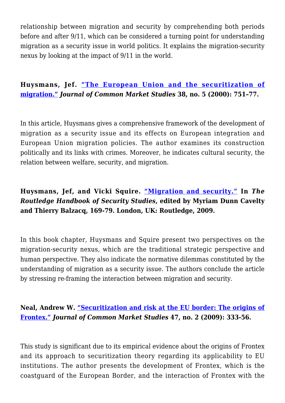relationship between migration and security by comprehending both periods before and after 9/11, which can be considered a turning point for understanding migration as a security issue in world politics. It explains the migration-security nexus by looking at the impact of 9/11 in the world.

**Huysmans, Jef. ["The European Union and the securitization of](https://onlinelibrary.wiley.com/doi/abs/10.1111/1468-5965.00263) [migration."](https://onlinelibrary.wiley.com/doi/abs/10.1111/1468-5965.00263)** *Journal of Common Market Studies* **38, no. 5 (2000): 751–77.** 

In this article, Huysmans gives a comprehensive framework of the development of migration as a security issue and its effects on European integration and European Union migration policies. The author examines its construction politically and its links with crimes. Moreover, he indicates cultural security, the relation between welfare, security, and migration.

### **Huysmans, Jef, and Vicki Squire. ["Migration and security."](http://oro.open.ac.uk/17257/) In** *The Routledge Handbook of Security Studies***, edited by Myriam Dunn Cavelty and Thierry Balzacq, 169-79. London, UK: Routledge, 2009.**

In this book chapter, Huysmans and Squire present two perspectives on the migration-security nexus, which are the traditional strategic perspective and human perspective. They also indicate the normative dilemmas constituted by the understanding of migration as a security issue. The authors conclude the article by stressing re-framing the interaction between migration and security.

### **Neal, Andrew W. ["Securitization and risk at the EU border: The origins of](https://onlinelibrary.wiley.com/doi/abs/10.1111/j.1468-5965.2009.00807.x) [Frontex."](https://onlinelibrary.wiley.com/doi/abs/10.1111/j.1468-5965.2009.00807.x)** *Journal of Common Market Studies* **47, no. 2 (2009): 333-56.**

This study is significant due to its empirical evidence about the origins of Frontex and its approach to securitization theory regarding its applicability to EU institutions. The author presents the development of Frontex, which is the coastguard of the European Border, and the interaction of Frontex with the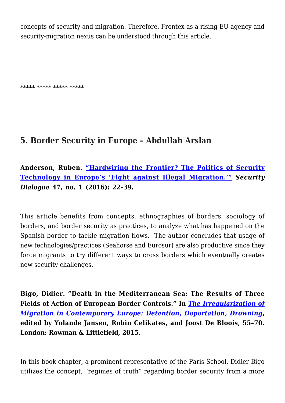concepts of security and migration. Therefore, Frontex as a rising EU agency and security-migration nexus can be understood through this article.

\*\*\*\*\* \*\*\*\*\* \*\*\*\*\* \*\*\*\*\*

# **5. Border Security in Europe – Abdullah Arslan**

**Anderson, Ruben. ["Hardwiring the Frontier? The Politics of Security](https://journals.sagepub.com/doi/abs/10.1177/0967010615606044?journalCode=sdib) [Technology in Europe's 'Fight against Illegal Migration.'"](https://journals.sagepub.com/doi/abs/10.1177/0967010615606044?journalCode=sdib)** *Security Dialogue* **47, no. 1 (2016): 22–39.**

This article benefits from concepts, ethnographies of borders, sociology of borders, and border security as practices, to analyze what has happened on the Spanish border to tackle migration flows. The author concludes that usage of new technologies/practices (Seahorse and Eurosur) are also productive since they force migrants to try different ways to cross borders which eventually creates new security challenges.

**Bigo, Didier. "Death in the Mediterranean Sea: The Results of Three Fields of Action of European Border Controls." In** *[The Irregularization of](https://www.proquest.com/openview/44d66c61850d4b14fa4c9ab34e4090b2/1?pq-origsite=gscholar&cbl=2030068) [Migration in Contemporary Europe: Detention, Deportation, Drowning](https://www.proquest.com/openview/44d66c61850d4b14fa4c9ab34e4090b2/1?pq-origsite=gscholar&cbl=2030068)***, edited by Yolande Jansen, Robin Celikates, and Joost De Bloois, 55–70. London: Rowman & Littlefield, 2015.** 

In this book chapter, a prominent representative of the Paris School, Didier Bigo utilizes the concept, "regimes of truth" regarding border security from a more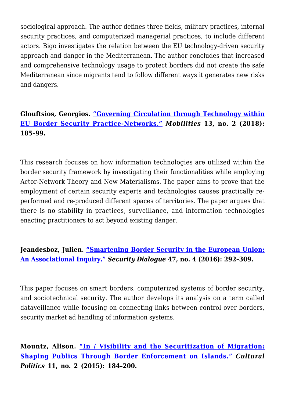sociological approach. The author defines three fields, military practices, internal security practices, and computerized managerial practices, to include different actors. Bigo investigates the relation between the EU technology-driven security approach and danger in the Mediterranean. The author concludes that increased and comprehensive technology usage to protect borders did not create the safe Mediterranean since migrants tend to follow different ways it generates new risks and dangers.

### **Glouftsios, Georgios. ["Governing Circulation through Technology within](https://www.tandfonline.com/doi/abs/10.1080/17450101.2017.1403774?journalCode=rmob20) [EU Border Security Practice-Networks."](https://www.tandfonline.com/doi/abs/10.1080/17450101.2017.1403774?journalCode=rmob20)** *Mobilities* **13, no. 2 (2018): 185–99.**

This research focuses on how information technologies are utilized within the border security framework by investigating their functionalities while employing Actor-Network Theory and New Materialisms. The paper aims to prove that the employment of certain security experts and technologies causes practically reperformed and re-produced different spaces of territories. The paper argues that there is no stability in practices, surveillance, and information technologies enacting practitioners to act beyond existing danger.

### **Jeandesboz, Julien. ["Smartening Border Security in the European Union:](https://journals.sagepub.com/doi/10.1177/0967010616650226) [An Associational Inquiry."](https://journals.sagepub.com/doi/10.1177/0967010616650226)** *Security Dialogue* **47, no. 4 (2016): 292–309.**

This paper focuses on smart borders, computerized systems of border security, and sociotechnical security. The author develops its analysis on a term called dataveillance while focusing on connecting links between control over borders, security market ad handling of information systems.

**Mountz, Alison. ["In / Visibility and the Securitization of Migration:](https://read.dukeupress.edu/cultural-politics/article-abstract/11/2/184/25807/in-Visibility-and-the-Securitization-of) [Shaping Publics Through Border Enforcement on Islands."](https://read.dukeupress.edu/cultural-politics/article-abstract/11/2/184/25807/in-Visibility-and-the-Securitization-of)** *Cultural Politics* **11, no. 2 (2015): 184–200.**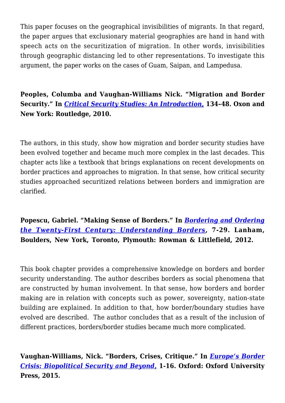This paper focuses on the geographical invisibilities of migrants. In that regard, the paper argues that exclusionary material geographies are hand in hand with speech acts on the securitization of migration. In other words, invisibilities through geographic distancing led to other representations. To investigate this argument, the paper works on the cases of Guam, Saipan, and Lampedusa.

**Peoples, Columba and Vaughan-Williams Nick. "Migration and Border Security." In** *[Critical Security Studies: An Introduction,](https://journals.sagepub.com/doi/abs/10.1111/j.1478-9302.2012.00262_18.x)* **134–48. Oxon and New York: Routledge, 2010.** 

The authors, in this study, show how migration and border security studies have been evolved together and became much more complex in the last decades. This chapter acts like a textbook that brings explanations on recent developments on border practices and approaches to migration. In that sense, how critical security studies approached securitized relations between borders and immigration are clarified.

**Popescu, Gabriel. "Making Sense of Borders." In** *[Bordering and Ordering](https://journals.sagepub.com/doi/abs/10.1177/2043820613487970?journalCode=dhga) [the Twenty-First Century: Understanding Borders](https://journals.sagepub.com/doi/abs/10.1177/2043820613487970?journalCode=dhga)***, 7-29. Lanham, Boulders, New York, Toronto, Plymouth: Rowman & Littlefield, 2012.**

This book chapter provides a comprehensive knowledge on borders and border security understanding. The author describes borders as social phenomena that are constructed by human involvement. In that sense, how borders and border making are in relation with concepts such as power, sovereignty, nation-state building are explained. In addition to that, how border/boundary studies have evolved are described. The author concludes that as a result of the inclusion of different practices, borders/border studies became much more complicated.

**Vaughan-Williams, Nick. "Borders, Crises, Critique." In** *[Europe's Border](https://www.tandfonline.com/doi/abs/10.1080/01402382.2016.1215455?journalCode=fwep20) [Crisis: Biopolitical Security and Beyond](https://www.tandfonline.com/doi/abs/10.1080/01402382.2016.1215455?journalCode=fwep20)***[,](https://www.tandfonline.com/doi/abs/10.1080/01402382.2016.1215455?journalCode=fwep20) 1-16. Oxford: Oxford University Press, 2015.**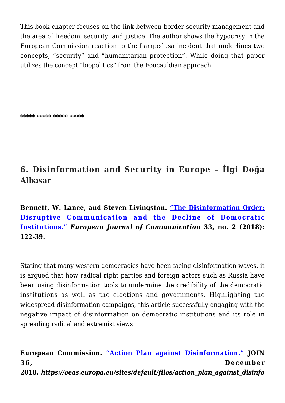This book chapter focuses on the link between border security management and the area of freedom, security, and justice. The author shows the hypocrisy in the European Commission reaction to the Lampedusa incident that underlines two concepts, "security" and "humanitarian protection". While doing that paper utilizes the concept "biopolitics" from the Foucauldian approach.

\*\*\*\*\* \*\*\*\*\* \*\*\*\*\* \*\*\*\*\*

# **6. Disinformation and Security in Europe – İlgi Doğa Albasar**

**Bennett, W. Lance, and Steven Livingston. ["The Disinformation Order:](https://journals.sagepub.com/doi/abs/10.1177/0267323118760317) [Disruptive Communication and the Decline of Democratic](https://journals.sagepub.com/doi/abs/10.1177/0267323118760317) [Institutions."](https://journals.sagepub.com/doi/abs/10.1177/0267323118760317)** *European Journal of Communication* **33, no. 2 (2018): 122-39.**

Stating that many western democracies have been facing disinformation waves, it is argued that how radical right parties and foreign actors such as Russia have been using disinformation tools to undermine the credibility of the democratic institutions as well as the elections and governments. Highlighting the widespread disinformation campaigns, this article successfully engaging with the negative impact of disinformation on democratic institutions and its role in spreading radical and extremist views.

**European Commission. ["Action Plan against Disinformation."](https://digital-strategy.ec.europa.eu/en/library/action-plan-against-disinformation) JOIN 36, December 2018***. https://eeas.europa.eu/sites/default/files/action\_plan\_against\_disinfo*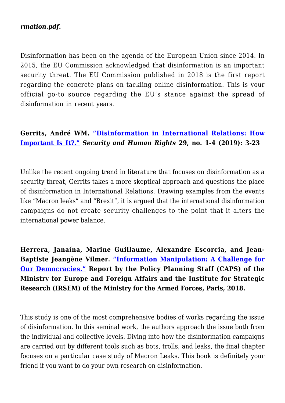#### *rmation.pdf.*

Disinformation has been on the agenda of the European Union since 2014. In 2015, the EU Commission acknowledged that disinformation is an important security threat. The EU Commission published in 2018 is the first report regarding the concrete plans on tackling online disinformation. This is your official go-to source regarding the EU's stance against the spread of disinformation in recent years.

### **Gerrits, André WM. ["Disinformation in International Relations: How](https://www.shrmonitor.org/disinformation-in-international-relations-how-important-is-it/) [Important Is It?."](https://www.shrmonitor.org/disinformation-in-international-relations-how-important-is-it/)** *Security and Human Rights* **29, no. 1-4 (2019): 3-23**

Unlike the recent ongoing trend in literature that focuses on disinformation as a security threat, Gerrits takes a more skeptical approach and questions the place of disinformation in International Relations. Drawing examples from the events like "Macron leaks" and "Brexit", it is argued that the international disinformation campaigns do not create security challenges to the point that it alters the international power balance.

**Herrera, Janaína, Marine Guillaume, Alexandre Escorcia, and Jean-Baptiste Jeangène Vilmer. ["Information Manipulation: A Challenge for](https://www.diplomatie.gouv.fr/en/french-foreign-policy/manipulation-of-information/article/joint-report-by-the-caps-irsem-information-manipulation-a-challenge-for-our) [Our Democracies."](https://www.diplomatie.gouv.fr/en/french-foreign-policy/manipulation-of-information/article/joint-report-by-the-caps-irsem-information-manipulation-a-challenge-for-our) Report by the Policy Planning Staff (CAPS) of the Ministry for Europe and Foreign Affairs and the Institute for Strategic Research (IRSEM) of the Ministry for the Armed Forces, Paris, 2018.** 

This study is one of the most comprehensive bodies of works regarding the issue of disinformation. In this seminal work, the authors approach the issue both from the individual and collective levels. Diving into how the disinformation campaigns are carried out by different tools such as bots, trolls, and leaks, the final chapter focuses on a particular case study of Macron Leaks. This book is definitely your friend if you want to do your own research on disinformation.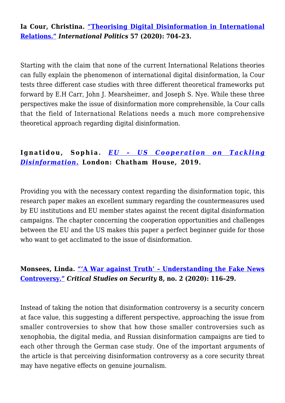**Ia Cour, Christina. ["Theorising Digital Disinformation in International](https://link.springer.com/article/10.1057/s41311-020-00215-x) [Relations."](https://link.springer.com/article/10.1057/s41311-020-00215-x)** *International Politics* **57 (2020): 704–23.** 

Starting with the claim that none of the current International Relations theories can fully explain the phenomenon of international digital disinformation, la Cour tests three different case studies with three different theoretical frameworks put forward by E.H Carr, John J. Mearsheimer, and Joseph S. Nye. While these three perspectives make the issue of disinformation more comprehensible, la Cour calls that the field of International Relations needs a much more comprehensive theoretical approach regarding digital disinformation.

### **Ignatidou, Sophia.** *[EU – US Cooperation on Tackling](https://www.chathamhouse.org/2019/10/eu-us-cooperation-tackling-disinformation) [Disinformation](https://www.chathamhouse.org/2019/10/eu-us-cooperation-tackling-disinformation)***[.](https://www.chathamhouse.org/2019/10/eu-us-cooperation-tackling-disinformation) London: Chatham House, 2019.**

Providing you with the necessary context regarding the disinformation topic, this research paper makes an excellent summary regarding the countermeasures used by EU institutions and EU member states against the recent digital disinformation campaigns. The chapter concerning the cooperation opportunities and challenges between the EU and the US makes this paper a perfect beginner guide for those who want to get acclimated to the issue of disinformation.

### **Monsees, Linda. ["'A War against Truth' – Understanding the Fake News](https://www.tandfonline.com/doi/full/10.1080/21624887.2020.1763708) [Controversy."](https://www.tandfonline.com/doi/full/10.1080/21624887.2020.1763708)** *Critical Studies on Security* **8***,* **no. 2 (2020): 116–29.**

Instead of taking the notion that disinformation controversy is a security concern at face value, this suggesting a different perspective, approaching the issue from smaller controversies to show that how those smaller controversies such as xenophobia, the digital media, and Russian disinformation campaigns are tied to each other through the German case study. One of the important arguments of the article is that perceiving disinformation controversy as a core security threat may have negative effects on genuine journalism.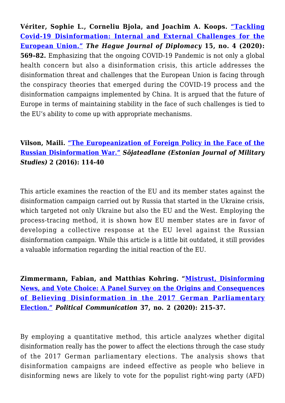**Vériter, Sophie L., Corneliu Bjola, and Joachim A. Koops. ["Tackling](https://brill.com/view/journals/hjd/15/4/article-p569_8.xml) [Covid-19 Disinformation: Internal and External Challenges for the](https://brill.com/view/journals/hjd/15/4/article-p569_8.xml) [European Union."](https://brill.com/view/journals/hjd/15/4/article-p569_8.xml)** *The Hague Journal of Diplomacy* **15, no. 4 (2020): 569–82.** Emphasizing that the ongoing COVID-19 Pandemic is not only a global health concern but also a disinformation crisis, this article addresses the disinformation threat and challenges that the European Union is facing through the conspiracy theories that emerged during the COVID-19 process and the disinformation campaigns implemented by China. It is argued that the future of Europe in terms of maintaining stability in the face of such challenges is tied to the EU's ability to come up with appropriate mechanisms*.*

### **Vilson, Maili. ["The Europeanization of Foreign Policy in the Face of the](https://dspace.ut.ee/handle/10062/58027?show=full&locale-attribute=de) [Russian Disinformation War."](https://dspace.ut.ee/handle/10062/58027?show=full&locale-attribute=de)** *Sõjateadlane (Estonian Journal of Military Studies)* **2 (2016): 114-40**

This article examines the reaction of the EU and its member states against the disinformation campaign carried out by Russia that started in the Ukraine crisis, which targeted not only Ukraine but also the EU and the West. Employing the process-tracing method, it is shown how EU member states are in favor of developing a collective response at the EU level against the Russian disinformation campaign. While this article is a little bit outdated, it still provides a valuable information regarding the initial reaction of the EU.

**Zimmermann, Fabian, and Matthias Kohring. "[Mistrust, Disinforming](https://www.tandfonline.com/doi/full/10.1080/10584609.2019.1686095) [News, and Vote Choice: A Panel Survey on the Origins and Consequences](https://www.tandfonline.com/doi/full/10.1080/10584609.2019.1686095) [of Believing Disinformation in the 2017 German Parliamentary](https://www.tandfonline.com/doi/full/10.1080/10584609.2019.1686095) [Election."](https://www.tandfonline.com/doi/full/10.1080/10584609.2019.1686095)** *Political Communication* **37, no. 2 (2020): 215–37.**

By employing a quantitative method, this article analyzes whether digital disinformation really has the power to affect the elections through the case study of the 2017 German parliamentary elections. The analysis shows that disinformation campaigns are indeed effective as people who believe in disinforming news are likely to vote for the populist right-wing party (AFD)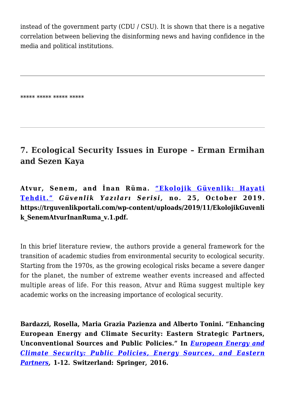instead of the government party (CDU / CSU). It is shown that there is a negative correlation between believing the disinforming news and having confidence in the media and political institutions.

\*\*\*\*\* \*\*\*\*\* \*\*\*\*\* \*\*\*\*\*

### **7. Ecological Security Issues in Europe – Erman Ermihan and Sezen Kaya**

**Atvur, Senem, and İnan Rüma. ["Ekolojik Güvenlik: Hayati](https://trguvenlikportali.com/wp-content/uploads/2019/11/EkolojikGuvenlik_SenemAtvurInanRuma_v.1.pdf) [Tehdit."](https://trguvenlikportali.com/wp-content/uploads/2019/11/EkolojikGuvenlik_SenemAtvurInanRuma_v.1.pdf)** *Güvenlik Yazıları Serisi,* **no. 25, October 2019. https://trguvenlikportali.com/wp-content/uploads/2019/11/EkolojikGuvenli k\_SenemAtvurInanRuma\_v.1.pdf.**

In this brief literature review, the authors provide a general framework for the transition of academic studies from environmental security to ecological security. Starting from the 1970s, as the growing ecological risks became a severe danger for the planet, the number of extreme weather events increased and affected multiple areas of life. For this reason, Atvur and Rüma suggest multiple key academic works on the increasing importance of ecological security.

**Bardazzi, Rosella, Maria Grazia Pazienza and Alberto Tonini. "Enhancing European Energy and Climate Security: Eastern Strategic Partners, Unconventional Sources and Public Policies." In** *[European Energy and](https://link.springer.com/book/10.1007/978-3-319-21302-6) [Climate Security: Public Policies, Energy Sources, and Eastern](https://link.springer.com/book/10.1007/978-3-319-21302-6) [Partners](https://link.springer.com/book/10.1007/978-3-319-21302-6),* **1-12. Switzerland: Springer, 2016.**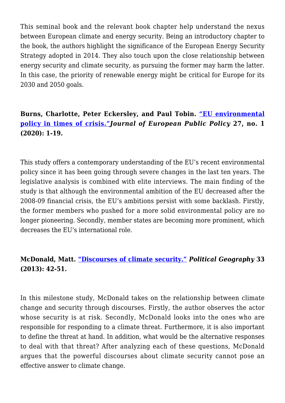This seminal book and the relevant book chapter help understand the nexus between European climate and energy security. Being an introductory chapter to the book, the authors highlight the significance of the European Energy Security Strategy adopted in 2014. They also touch upon the close relationship between energy security and climate security, as pursuing the former may harm the latter. In this case, the priority of renewable energy might be critical for Europe for its 2030 and 2050 goals.

### **Burns, Charlotte, Peter Eckersley, and Paul Tobin. ["EU environmental](https://www.tandfonline.com/doi/full/10.1080/13501763.2018.1561741) [policy in times of crisis."](https://www.tandfonline.com/doi/full/10.1080/13501763.2018.1561741)***Journal of European Public Policy* **27, no. 1 (2020): 1-19.**

This study offers a contemporary understanding of the EU's recent environmental policy since it has been going through severe changes in the last ten years. The legislative analysis is combined with elite interviews. The main finding of the study is that although the environmental ambition of the EU decreased after the 2008-09 financial crisis, the EU's ambitions persist with some backlash. Firstly, the former members who pushed for a more solid environmental policy are no longer pioneering. Secondly, member states are becoming more prominent, which decreases the EU's international role.

### **McDonald, Matt. ["Discourses of climate security."](https://www.sciencedirect.com/science/article/abs/pii/S0962629813000188)** *Political Geography* **33 (2013): 42-51.**

In this milestone study, McDonald takes on the relationship between climate change and security through discourses. Firstly, the author observes the actor whose security is at risk. Secondly, McDonald looks into the ones who are responsible for responding to a climate threat. Furthermore, it is also important to define the threat at hand. In addition, what would be the alternative responses to deal with that threat? After analyzing each of these questions, McDonald argues that the powerful discourses about climate security cannot pose an effective answer to climate change.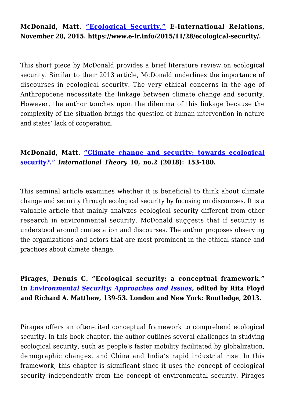### **McDonald, Matt. ["Ecological Security."](https://www.e-ir.info/2015/11/28/ecological-security/) E-International Relations, November 28, 2015. https://www.e-ir.info/2015/11/28/ecological-security/.**

This short piece by McDonald provides a brief literature review on ecological security. Similar to their 2013 article, McDonald underlines the importance of discourses in ecological security. The very ethical concerns in the age of Anthropocene necessitate the linkage between climate change and security. However, the author touches upon the dilemma of this linkage because the complexity of the situation brings the question of human intervention in nature and states' lack of cooperation.

### **McDonald, Matt. ["Climate change and security: towards ecological](https://www.cambridge.org/core/journals/international-theory/article/abs/climate-change-and-security-towards-ecological-security/228798050D9F11036FB72D9F2C84F70D) [security?."](https://www.cambridge.org/core/journals/international-theory/article/abs/climate-change-and-security-towards-ecological-security/228798050D9F11036FB72D9F2C84F70D)** *International Theory* **10, no.2 (2018): 153-180.**

This seminal article examines whether it is beneficial to think about climate change and security through ecological security by focusing on discourses. It is a valuable article that mainly analyzes ecological security different from other research in environmental security. McDonald suggests that if security is understood around contestation and discourses. The author proposes observing the organizations and actors that are most prominent in the ethical stance and practices about climate change.

### **Pirages, Dennis C. "Ecological security: a conceptual framework." In** *[Environmental Security: Approaches and Issues,](https://www.jstor.org/stable/24538269?Search=yes&resultItemClick=true&searchText=Environmental+security+approaches+and+issues&searchUri=%2Faction%2FdoBasicSearch%3FQuery%3DEnvironmental%2Bsecurity%2Bapproaches%2Band%2Bissues&ab_segments=0%2Fbasic_search_gsv2%2Fcontrol&refreqid=fastly-default%3A641fedf0b1fd8b5503a780ada7909b78&seq=1#metadata_info_tab_contents)* **edited by Rita Floyd and Richard A. Matthew, 139-53. London and New York: Routledge, 2013.**

Pirages offers an often-cited conceptual framework to comprehend ecological security. In this book chapter, the author outlines several challenges in studying ecological security, such as people's faster mobility facilitated by globalization, demographic changes, and China and India's rapid industrial rise. In this framework, this chapter is significant since it uses the concept of ecological security independently from the concept of environmental security. Pirages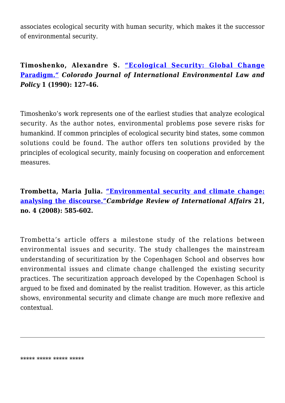associates ecological security with human security, which makes it the successor of environmental security.

### **Timoshenko, Alexandre S. ["Ecological Security: Global Change](https://heinonline.org/HOL/Page?handle=hein.journals/colenvlp1&div=13&g_sent=1&casa_token=_I0DAEXPqGQAAAAA:XX2oYTRgZCGBhx10kfl5aEWHeo1m-PokXZeK7gtM_l5mQ9Wy_faXl68t_kE4cz3u_TkI6S_Yzw&collection=journals) [Paradigm.](https://heinonline.org/HOL/Page?handle=hein.journals/colenvlp1&div=13&g_sent=1&casa_token=_I0DAEXPqGQAAAAA:XX2oYTRgZCGBhx10kfl5aEWHeo1m-PokXZeK7gtM_l5mQ9Wy_faXl68t_kE4cz3u_TkI6S_Yzw&collection=journals)***["](https://heinonline.org/HOL/Page?handle=hein.journals/colenvlp1&div=13&g_sent=1&casa_token=_I0DAEXPqGQAAAAA:XX2oYTRgZCGBhx10kfl5aEWHeo1m-PokXZeK7gtM_l5mQ9Wy_faXl68t_kE4cz3u_TkI6S_Yzw&collection=journals) Colorado Journal of International Environmental Law and Policy* **1 (1990): 127-46.**

Timoshenko's work represents one of the earliest studies that analyze ecological security. As the author notes, environmental problems pose severe risks for humankind. If common principles of ecological security bind states, some common solutions could be found. The author offers ten solutions provided by the principles of ecological security, mainly focusing on cooperation and enforcement measures.

### **Trombetta, Maria Julia. ["Environmental security and climate change:](https://www.tandfonline.com/doi/full/10.1080/09557570802452920) [analysing the discourse."](https://www.tandfonline.com/doi/full/10.1080/09557570802452920)***Cambridge Review of International Affairs* **21, no. 4 (2008): 585-602.**

Trombetta's article offers a milestone study of the relations between environmental issues and security. The study challenges the mainstream understanding of securitization by the Copenhagen School and observes how environmental issues and climate change challenged the existing security practices. The securitization approach developed by the Copenhagen School is argued to be fixed and dominated by the realist tradition. However, as this article shows, environmental security and climate change are much more reflexive and contextual.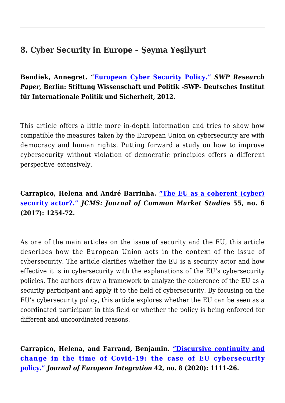### **8. Cyber Security in Europe – Şeyma Yeşilyurt**

**Bendiek, Annegret. "[European Cyber Security Policy."](https://www.swp-berlin.org/publications/products/research_papers/2012_RP13_bdk.pdf)** *SWP Research Paper***, Berlin: Stiftung Wissenschaft und Politik -SWP- Deutsches Institut für Internationale Politik und Sicherheit, 2012.**

This article offers a little more in-depth information and tries to show how compatible the measures taken by the European Union on cybersecurity are with democracy and human rights. Putting forward a study on how to improve cybersecurity without violation of democratic principles offers a different perspective extensively.

**Carrapico, Helena and André Barrinha. ["The EU as a coherent \(cyber\)](https://onlinelibrary.wiley.com/doi/full/10.1111/jcms.12575) [security actor?."](https://onlinelibrary.wiley.com/doi/full/10.1111/jcms.12575)** *JCMS: Journal of Common Market Studies* **55, no. 6 (2017): 1254-72.**

As one of the main articles on the issue of security and the EU, this article describes how the European Union acts in the context of the issue of cybersecurity. The article clarifies whether the EU is a security actor and how effective it is in cybersecurity with the explanations of the EU's cybersecurity policies. The authors draw a framework to analyze the coherence of the EU as a security participant and apply it to the field of cybersecurity. By focusing on the EU's cybersecurity policy, this article explores whether the EU can be seen as a coordinated participant in this field or whether the policy is being enforced for different and uncoordinated reasons.

**Carrapico, Helena, and Farrand, Benjamin. ["Discursive continuity and](https://www.tandfonline.com/doi/full/10.1080/07036337.2020.1853122) [change in the time of Covid-19: the case of EU cybersecurity](https://www.tandfonline.com/doi/full/10.1080/07036337.2020.1853122) [policy."](https://www.tandfonline.com/doi/full/10.1080/07036337.2020.1853122)** *Journal of European Integration* **42, no. 8 (2020): 1111-26.**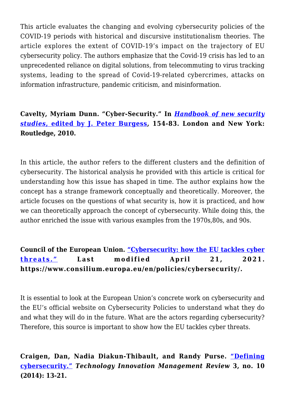This article evaluates the changing and evolving cybersecurity policies of the COVID-19 periods with historical and discursive institutionalism theories. The article explores the extent of COVID-19's impact on the trajectory of EU cybersecurity policy. The authors emphasize that the Covid-19 crisis has led to an unprecedented reliance on digital solutions, from telecommuting to virus tracking systems, leading to the spread of Covid-19-related cybercrimes, attacks on information infrastructure, pandemic criticism, and misinformation.

### **Cavelty, Myriam Dunn. "Cyber-Security." In** *[Handbook of new security](https://www.jstor.org/stable/41238353?seq=1#metadata_info_tab_contents) [studies](https://www.jstor.org/stable/41238353?seq=1#metadata_info_tab_contents)***[, edited by J. Peter Burgess,](https://www.jstor.org/stable/41238353?seq=1#metadata_info_tab_contents) 154-83. London and New York: Routledge, 2010.**

In this article, the author refers to the different clusters and the definition of cybersecurity. The historical analysis he provided with this article is critical for understanding how this issue has shaped in time. The author explains how the concept has a strange framework conceptually and theoretically. Moreover, the article focuses on the questions of what security is, how it is practiced, and how we can theoretically approach the concept of cybersecurity. While doing this, the author enriched the issue with various examples from the 1970s,80s, and 90s.

### **Council of the European Union. ["Cybersecurity: how the EU tackles cyber](https://www.consilium.europa.eu/en/policies/cybersecurity/) [threats."](https://www.consilium.europa.eu/en/policies/cybersecurity/) Last modified April 21, 2021. https://www.consilium.europa.eu/en/policies/cybersecurity/.**

It is essential to look at the European Union's concrete work on cybersecurity and the EU's official website on Cybersecurity Policies to understand what they do and what they will do in the future. What are the actors regarding cybersecurity? Therefore, this source is important to show how the EU tackles cyber threats.

### **Craigen, Dan, Nadia Diakun-Thibault, and Randy Purse. ["Defining](https://timreview.ca/article/835) [cybersecurity."](https://timreview.ca/article/835)** *Technology Innovation Management Review* **3, no. 10 (2014): 13-21.**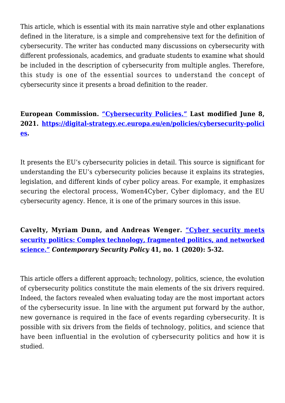This article, which is essential with its main narrative style and other explanations defined in the literature, is a simple and comprehensive text for the definition of cybersecurity. The writer has conducted many discussions on cybersecurity with different professionals, academics, and graduate students to examine what should be included in the description of cybersecurity from multiple angles. Therefore, this study is one of the essential sources to understand the concept of cybersecurity since it presents a broad definition to the reader.

### **European Commission. ["Cybersecurity Policies."](https://digital-strategy.ec.europa.eu/en/policies/cybersecurity-policies) Last modified June 8, 2021. [https://digital-strategy.ec.europa.eu/en/policies/cybersecurity-polici](https://digital-strategy.ec.europa.eu/en/policies/cybersecurity-policies) [es](https://digital-strategy.ec.europa.eu/en/policies/cybersecurity-policies).**

It presents the EU's cybersecurity policies in detail. This source is significant for understanding the EU's cybersecurity policies because it explains its strategies, legislation, and different kinds of cyber policy areas. For example, it emphasizes securing the electoral process, Women4Cyber, Cyber diplomacy, and the EU cybersecurity agency. Hence, it is one of the primary sources in this issue.

### **Cavelty, Myriam Dunn, and Andreas Wenger. ["Cyber security meets](https://www.tandfonline.com/doi/full/10.1080/13523260.2019.1678855) [security politics: Complex technology, fragmented politics, and networked](https://www.tandfonline.com/doi/full/10.1080/13523260.2019.1678855) [science."](https://www.tandfonline.com/doi/full/10.1080/13523260.2019.1678855)** *Contemporary Security Policy* **41, no. 1 (2020): 5-32.**

This article offers a different approach; technology, politics, science, the evolution of cybersecurity politics constitute the main elements of the six drivers required. Indeed, the factors revealed when evaluating today are the most important actors of the cybersecurity issue. In line with the argument put forward by the author, new governance is required in the face of events regarding cybersecurity. It is possible with six drivers from the fields of technology, politics, and science that have been influential in the evolution of cybersecurity politics and how it is studied.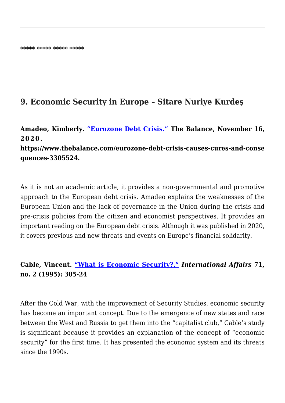### **9. Economic Security in Europe – Sitare Nuriye Kurdeş**

**Amadeo, Kimberly. ["Eurozone Debt Crisis."](https://www.thebalance.com/eurozone-debt-crisis-causes-cures-and-consequences-3305524) The Balance, November 16, 2020.**

**https://www.thebalance.com/eurozone-debt-crisis-causes-cures-and-conse quences-3305524.**

As it is not an academic article, it provides a non-governmental and promotive approach to the European debt crisis. Amadeo explains the weaknesses of the European Union and the lack of governance in the Union during the crisis and pre-crisis policies from the citizen and economist perspectives. It provides an important reading on the European debt crisis. Although it was published in 2020, it covers previous and new threats and events on Europe's financial solidarity.

### **Cable, Vincent. ["What is Economic Security?."](https://www.jstor.org/stable/2623436?seq=1#metadata_info_tab_contents)** *International Affairs* **71, no. 2 (1995): 305-24**

After the Cold War, with the improvement of Security Studies, economic security has become an important concept. Due to the emergence of new states and race between the West and Russia to get them into the "capitalist club," Cable's study is significant because it provides an explanation of the concept of "economic security" for the first time. It has presented the economic system and its threats since the 1990s.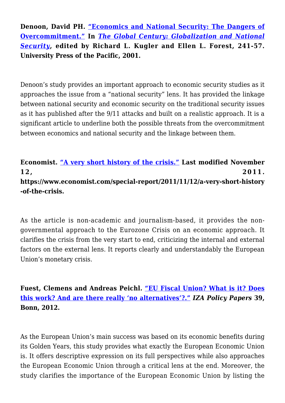**Denoon, David PH. ["Economics and National Security: The Dangers of](https://www.hsdl.org/?abstract&did=458487) [Overcommitment."](https://www.hsdl.org/?abstract&did=458487) In** *[The Global Century: Globalization and National](https://www.jstor.org/stable/20050343?Search=yes&resultItemClick=true&searchText=The+Global+Century+Globalization+and+National+Security%2C&searchUri=%2Faction%2FdoBasicSearch%3FQuery%3DThe%2BGlobal%2BCentury%253A%2BGlobalization%2Band%2BNational%2BSecurity%252C&ab_segments=0%2Fbasic_search_gsv2%2Fcontrol&refreqid=fastly-default%3Acc2cfddd034cef0239617673229c5240&seq=1#metadata_info_tab_contents) [Security](https://www.jstor.org/stable/20050343?Search=yes&resultItemClick=true&searchText=The+Global+Century+Globalization+and+National+Security%2C&searchUri=%2Faction%2FdoBasicSearch%3FQuery%3DThe%2BGlobal%2BCentury%253A%2BGlobalization%2Band%2BNational%2BSecurity%252C&ab_segments=0%2Fbasic_search_gsv2%2Fcontrol&refreqid=fastly-default%3Acc2cfddd034cef0239617673229c5240&seq=1#metadata_info_tab_contents)***, edited by Richard L. Kugler and Ellen L. Forest, 241-57. University Press of the Pacific, 2001.**

Denoon's study provides an important approach to economic security studies as it approaches the issue from a "national security" lens. It has provided the linkage between national security and economic security on the traditional security issues as it has published after the 9/11 attacks and built on a realistic approach. It is a significant article to underline both the possible threats from the overcommitment between economics and national security and the linkage between them.

**Economist. ["A very short history of the crisis."](https://www.economist.com/special-report/2011/11/12/a-very-short-history-of-the-crisis) Last modified November 12, 2011. https://www.economist.com/special-report/2011/11/12/a-very-short-history -of-the-crisis.**

As the article is non-academic and journalism-based, it provides the nongovernmental approach to the Eurozone Crisis on an economic approach. It clarifies the crisis from the very start to end, criticizing the internal and external factors on the external lens. It reports clearly and understandably the European Union's monetary crisis.

**Fuest, Clemens and Andreas Peichl. ["EU Fiscal Union? What is it? Does](https://www.iza.org/publications/pp/39/european-fiscal-union-what-is-it-does-it-work-and-are-there-really-no-alternatives) [this work? And are there really 'no alternatives'?."](https://www.iza.org/publications/pp/39/european-fiscal-union-what-is-it-does-it-work-and-are-there-really-no-alternatives)** *IZA Policy Papers* **39, Bonn, 2012.**

As the European Union's main success was based on its economic benefits during its Golden Years, this study provides what exactly the European Economic Union is. It offers descriptive expression on its full perspectives while also approaches the European Economic Union through a critical lens at the end. Moreover, the study clarifies the importance of the European Economic Union by listing the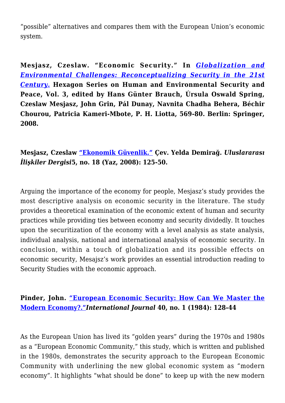"possible" alternatives and compares them with the European Union's economic system.

**Mesjasz, Czeslaw. "Economic Security." In** *[Globalization and](https://www.uikpanorama.com/applewebdata://95B66A40-EA15-44FB-8241-9B06AA59B4B2/Globalization%20and%20Environmental%20Challenges:%20Reconceptualizing%20Security%20in%20the%2021st%20Century) [Environmental Challenges: Reconceptualizing Security in the 21st](https://www.uikpanorama.com/applewebdata://95B66A40-EA15-44FB-8241-9B06AA59B4B2/Globalization%20and%20Environmental%20Challenges:%20Reconceptualizing%20Security%20in%20the%2021st%20Century) [Century.](https://www.uikpanorama.com/applewebdata://95B66A40-EA15-44FB-8241-9B06AA59B4B2/Globalization%20and%20Environmental%20Challenges:%20Reconceptualizing%20Security%20in%20the%2021st%20Century)* **Hexagon Series on Human and Environmental Security and Peace, Vol. 3, edited by Hans Günter Brauch, Úrsula Oswald Spring, Czeslaw Mesjasz, John Grin, Pál Dunay, Navnita Chadha Behera, Béchir Chourou, Patricia Kameri-Mbote, P. H. Liotta, 569-80. Berlin: Springer, 2008.**

### **Mesjasz, Czeslaw ["Ekonomik Güvenlik."](https://www.uidergisi.com.tr/yazilar/ekonomik-guvenlik) Çev. Yelda Demirağ.** *Uluslararası İlişkiler Dergisi***5, no. 18 (Yaz, 2008): 125-50.**

Arguing the importance of the economy for people, Mesjasz's study provides the most descriptive analysis on economic security in the literature. The study provides a theoretical examination of the economic extent of human and security practices while providing ties between economy and security dividedly. It touches upon the securitization of the economy with a level analysis as state analysis, individual analysis, national and international analysis of economic security. In conclusion, within a touch of globalization and its possible effects on economic security, Mesajsz's work provides an essential introduction reading to Security Studies with the economic approach.

### **Pinder, John. ["European Economic Security: How Can We Master the](https://www.jstor.org/stable/40184600?seq=1#metadata_info_tab_contents) [Modern Economy?."](https://www.jstor.org/stable/40184600?seq=1#metadata_info_tab_contents)***International Journal* **40, no. 1 (1984): 128-44**

As the European Union has lived its "golden years" during the 1970s and 1980s as a "European Economic Community," this study, which is written and published in the 1980s, demonstrates the security approach to the European Economic Community with underlining the new global economic system as "modern economy". It highlights "what should be done" to keep up with the new modern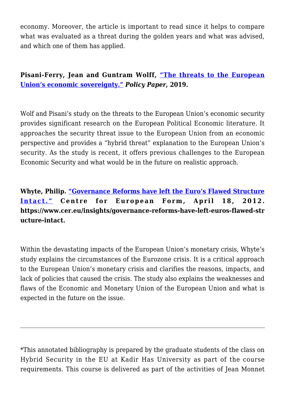economy. Moreover, the article is important to read since it helps to compare what was evaluated as a threat during the golden years and what was advised, and which one of them has applied.

**Pisani-Ferry, Jean and Guntram Wolff, ["The threats to the European](https://www.bruegel.org/2019/07/the-threats-to-the-european-unions-economic-sovereignty/) [Union's economic sovereignty."](https://www.bruegel.org/2019/07/the-threats-to-the-european-unions-economic-sovereignty/)** *Policy Paper***, 2019.**

Wolf and Pisani's study on the threats to the European Union's economic security provides significant research on the European Political Economic literature. It approaches the security threat issue to the European Union from an economic perspective and provides a "hybrid threat" explanation to the European Union's security. As the study is recent, it offers previous challenges to the European Economic Security and what would be in the future on realistic approach.

**Whyte, Philip. ["Governance Reforms have left the Euro's Flawed Structure](https://www.cer.eu/insights/governance-reforms-have-left-euros-flawed-structure-intact) [Intact."](https://www.cer.eu/insights/governance-reforms-have-left-euros-flawed-structure-intact) Centre for European Form, April 18, 2012. https://www.cer.eu/insights/governance-reforms-have-left-euros-flawed-str ucture-intact.**

Within the devastating impacts of the European Union's monetary crisis, Whyte's study explains the circumstances of the Eurozone crisis. It is a critical approach to the European Union's monetary crisis and clarifies the reasons, impacts, and lack of policies that caused the crisis. The study also explains the weaknesses and flaws of the Economic and Monetary Union of the European Union and what is expected in the future on the issue.

\*This annotated bibliography is prepared by the graduate students of the class on Hybrid Security in the EU at Kadir Has University as part of the course requirements. This course is delivered as part of the activities of Jean Monnet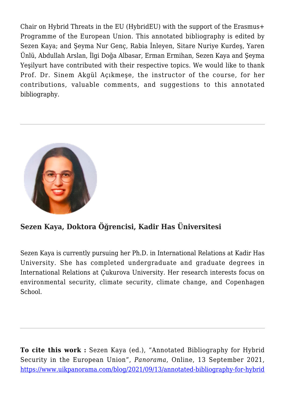Chair on Hybrid Threats in the EU (HybridEU) with the support of the Erasmus+ Programme of the European Union. This annotated bibliography is edited by Sezen Kaya; and Şeyma Nur Genç, Rabia İnleyen, Sitare Nuriye Kurdeş, Yaren Ünlü, Abdullah Arslan, İlgi Doğa Albasar, Erman Ermihan, Sezen Kaya and Şeyma Yeşilyurt have contributed with their respective topics. We would like to thank Prof. Dr. Sinem Akgül Açıkmeşe, the instructor of the course, for her contributions, valuable comments, and suggestions to this annotated bibliography.



### **Sezen Kaya, Doktora Öğrencisi, Kadir Has Üniversitesi**

Sezen Kaya is currently pursuing her Ph.D. in International Relations at Kadir Has University. She has completed undergraduate and graduate degrees in International Relations at Çukurova University. Her research interests focus on environmental security, climate security, climate change, and Copenhagen School.

**To cite this work :** Sezen Kaya (ed.), "Annotated Bibliography for Hybrid Security in the European Union", *Panorama*, Online, 13 September 2021, [https://www.uikpanorama.com/blog/2021/09/13/annotated-bibliography-for-hybrid](https://www.uikpanorama.com/?p=4051)